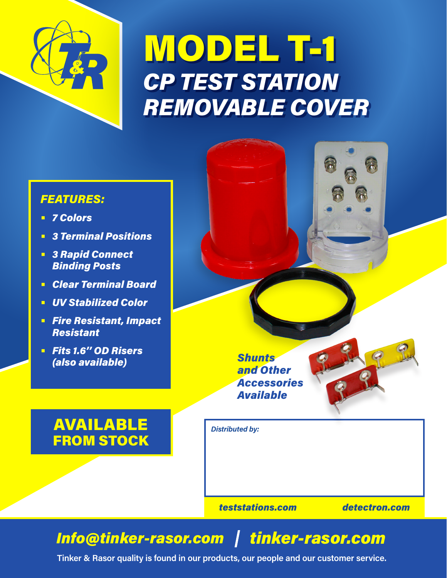

# MODEL T-1 *CP TEST STATION REMOVABLE COVER*

# *FEATURES:*

- **•** *7 Colors*
- **•** *3 Terminal Positions*
- **•** *3 Rapid Connect Binding Posts*
- **•** *Clear Terminal Board*
- **•** *UV Stabilized Color*
- **•** *Fire Resistant, Impact Resistant*
- **•** *Fits 1.6'' OD Risers (also available)*

# AVAILABLE FROM STOCK



*teststations.com detectron.com*

# *Info@tinker-rasor.com tinker-rasor.com*

**Tinker & Rasor quality is found in our products, our people and our customer service.**